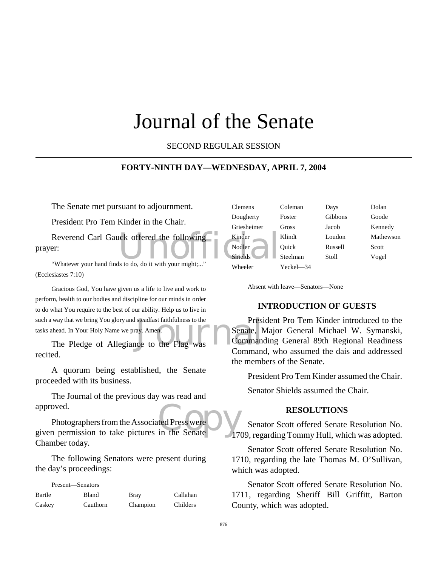# Journal of the Senate

SECOND REGULAR SESSION

# **FORTY-NINTH DAY—WEDNESDAY, APRIL 7, 2004**

The Senate met pursuant to adjournment.

President Pro Tem Kinder in the Chair.

Reverend Carl Gauck offered the following<br>
Figure 2018 prayer:

"Whatever your hand finds to do, do it with your might;..." (Ecclesiastes 7:10)

way that we bring You glory and steadfast faithfulness to the<br>
The Pledge of Allegiance to the Flag was<br>
The Pledge of Allegiance to the Flag was<br>
Command Gracious God, You have given us a life to live and work to perform, health to our bodies and discipline for our minds in order to do what You require to the best of our ability. Help us to live in such a way that we bring You glory and steadfast faithfulness to the tasks ahead. In Your Holy Name we pray. Amen.

recited.

A quorum being established, the Senate proceeded with its business.

The Journal of the previous day was read and approved.

approved.<br>
Photographers from the Associated Press were<br>
given permission to take pictures in the Senate Photographers from the Associated Press were Chamber today.

The following Senators were present during the day's proceedings:

| Present—Senators |          |             |          |
|------------------|----------|-------------|----------|
| Bartle           | Bland    | <b>Bray</b> | Callahan |
| Caskey           | Cauthorn | Champion    | Childers |

| <b>Clemens</b> | Coleman   | Days    | Dolan     |
|----------------|-----------|---------|-----------|
| Dougherty      | Foster    | Gibbons | Goode     |
| Griesheimer    | Gross     | Jacob   | Kennedy   |
| Kinder         | Klindt    | Loudon  | Mathewson |
| Nodler         | Quick     | Russell | Scott     |
| <b>Shields</b> | Steelman  | Stoll   | Vogel     |
| Wheeler        | Yeckel—34 |         |           |

Absent with leave—Senators—None

## **INTRODUCTION OF GUESTS**

President Pro Tem Kinder introduced to the Senate, Major General Michael W. Symanski, Commanding General 89th Regional Readiness Command, who assumed the dais and addressed the members of the Senate.

President Pro Tem Kinder assumed the Chair.

Senator Shields assumed the Chair.

## **RESOLUTIONS**

Senator Scott offered Senate Resolution No. 1709, regarding Tommy Hull, which was adopted.

Senator Scott offered Senate Resolution No. 1710, regarding the late Thomas M. O'Sullivan, which was adopted.

Senator Scott offered Senate Resolution No. 1711, regarding Sheriff Bill Griffitt, Barton County, which was adopted.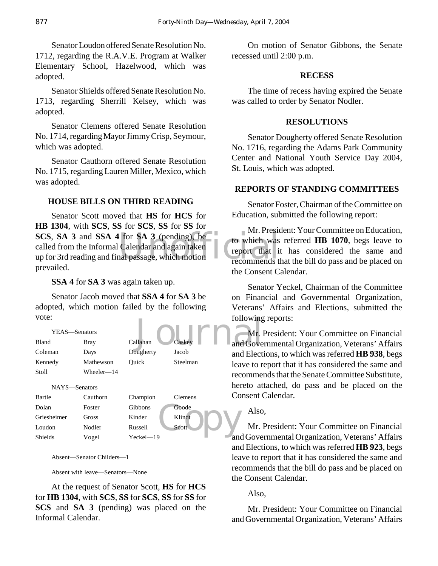Senator Loudon offered Senate Resolution No. 1712, regarding the R.A.V.E. Program at Walker Elementary School, Hazelwood, which was adopted.

Senator Shields offered Senate Resolution No. 1713, regarding Sherrill Kelsey, which was adopted.

Senator Clemens offered Senate Resolution No. 1714, regarding Mayor Jimmy Crisp, Seymour, which was adopted.

Senator Cauthorn offered Senate Resolution No. 1715, regarding Lauren Miller, Mexico, which was adopted.

# **HOUSE BILLS ON THIRD READING**

**SCS, SA 3** and **SSA 4** for **SA 3** (pending), be<br>called from the Informal Calendar and again taken<br>up for 3rd reading and final passage, which motion Senator Scott moved that **HS** for **HCS** for **HB 1304**, with **SCS**, **SS** for **SCS**, **SS** for **SS** for called from the Informal Calendar and again taken up for 3rd reading and final passage, which motion prevailed.

**SSA 4** for **SA 3** was again taken up.

Senator Jacob moved that **SSA 4** for **SA 3** be adopted, which motion failed by the following vote:

| vote:         |              |                |              | following  |
|---------------|--------------|----------------|--------------|------------|
| YEAS-Senators |              |                |              | Mr.        |
| Bland         | <b>Bray</b>  | Callahan       | Caskey       | and Gove   |
| Coleman       | Days         | Dougherty      | Jacob        | and Elect  |
| Kennedy       | Mathewson    | Ouick          | Steelman     | leave to r |
| Stoll         | Wheeler-14   |                |              | recomme    |
| NAYS-Senators |              |                |              | hereto at  |
| Bartle        | Cauthorn     | Champion       | Clemens      | Consent (  |
| Dolan         | Foster       | <b>Gibbons</b> | Goode        | Also       |
| Griesheimer   | <b>Gross</b> | Kinder         | Klindt       |            |
| Loudon        | Nodler       | Russell        | <b>Scott</b> | $Mr.$ ]    |
| Shields       | Voαel        | Yeckel—19      |              | and Gove   |

Absent—Senator Childers—1

Absent with leave—Senators—None

Shields Vogel Yeckel—19

At the request of Senator Scott, **HS** for **HCS** for **HB 1304**, with **SCS**, **SS** for **SCS**, **SS** for **SS** for **SCS** and **SA 3** (pending) was placed on the Informal Calendar.

On motion of Senator Gibbons, the Senate recessed until 2:00 p.m.

## **RECESS**

The time of recess having expired the Senate was called to order by Senator Nodler.

#### **RESOLUTIONS**

Senator Dougherty offered Senate Resolution No. 1716, regarding the Adams Park Community Center and National Youth Service Day 2004, St. Louis, which was adopted.

# **REPORTS OF STANDING COMMITTEES**

Senator Foster, Chairman of the Committee on Education, submitted the following report:

Mr. President: Your Committee on Education, to which was referred **HB 1070**, begs leave to report that it has considered the same and recommends that the bill do pass and be placed on the Consent Calendar.

Senator Yeckel, Chairman of the Committee on Financial and Governmental Organization, Veterans' Affairs and Elections, submitted the following reports:

Mr. President: Your Committee on Financial and Governmental Organization, Veterans' Affairs and Elections, to which was referred **HB 938**, begs leave to report that it has considered the same and recommends that the Senate Committee Substitute, hereto attached, do pass and be placed on the Consent Calendar.

Also,

Mr. President: Your Committee on Financial and Governmental Organization, Veterans' Affairs and Elections, to which was referred **HB 923**, begs leave to report that it has considered the same and recommends that the bill do pass and be placed on the Consent Calendar.

Also,

Mr. President: Your Committee on Financial and Governmental Organization, Veterans' Affairs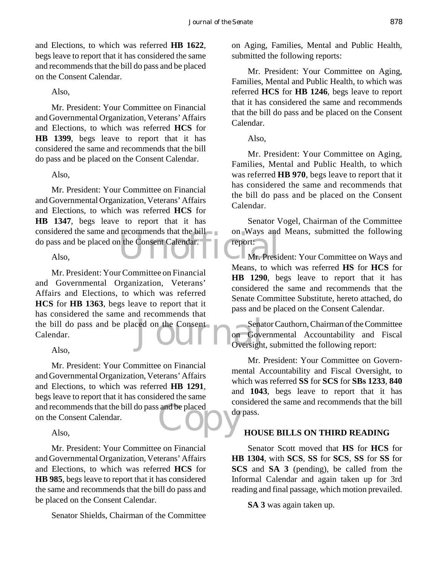and Elections, to which was referred **HB 1622**, begs leave to report that it has considered the same and recommends that the bill do pass and be placed on the Consent Calendar.

# Also,

Mr. President: Your Committee on Financial and Governmental Organization, Veterans' Affairs and Elections, to which was referred **HCS** for **HB 1399**, begs leave to report that it has considered the same and recommends that the bill do pass and be placed on the Consent Calendar.

# Also,

The Consent Calendar. Mr. President: Your Committee on Financial and Governmental Organization, Veterans' Affairs and Elections, to which was referred **HCS** for **HB 1347**, begs leave to report that it has considered the same and recommends that the bill do pass and be placed on the Consent Calendar.

#### Also,

The bill do pass and be placed on the Consent<br>Calendar.<br>Also Mr. President: Your Committee on Financial and Governmental Organization, Veterans' Affairs and Elections, to which was referred **HCS** for **HB 1363**, begs leave to report that it has considered the same and recommends that Calendar.

## Also,

and recommends that the bill do pass and be placed<br>on the Consent Calendar.<br>Also, Mr. President: Your Committee on Financial and Governmental Organization, Veterans' Affairs and Elections, to which was referred **HB 1291**, begs leave to report that it has considered the same on the Consent Calendar.

## Also,

Mr. President: Your Committee on Financial and Governmental Organization, Veterans' Affairs and Elections, to which was referred **HCS** for **HB 985**, begs leave to report that it has considered the same and recommends that the bill do pass and be placed on the Consent Calendar.

Senator Shields, Chairman of the Committee

on Aging, Families, Mental and Public Health, submitted the following reports:

Mr. President: Your Committee on Aging, Families, Mental and Public Health, to which was referred **HCS** for **HB 1246**, begs leave to report that it has considered the same and recommends that the bill do pass and be placed on the Consent Calendar.

Also,

Mr. President: Your Committee on Aging, Families, Mental and Public Health, to which was referred **HB 970**, begs leave to report that it has considered the same and recommends that the bill do pass and be placed on the Consent Calendar.

Senator Vogel, Chairman of the Committee on Ways and Means, submitted the following report:

Mr. President: Your Committee on Ways and Means, to which was referred **HS** for **HCS** for **HB 1290**, begs leave to report that it has considered the same and recommends that the Senate Committee Substitute, hereto attached, do pass and be placed on the Consent Calendar.

Senator Cauthorn, Chairman of the Committee on Governmental Accountability and Fiscal Oversight, submitted the following report:

Mr. President: Your Committee on Governmental Accountability and Fiscal Oversight, to which was referred **SS** for **SCS** for **SBs 1233**, **840** and **1043**, begs leave to report that it has considered the same and recommends that the bill do pass.

# **HOUSE BILLS ON THIRD READING**

Senator Scott moved that **HS** for **HCS** for **HB 1304**, with **SCS**, **SS** for **SCS**, **SS** for **SS** for **SCS** and **SA 3** (pending), be called from the Informal Calendar and again taken up for 3rd reading and final passage, which motion prevailed.

**SA 3** was again taken up.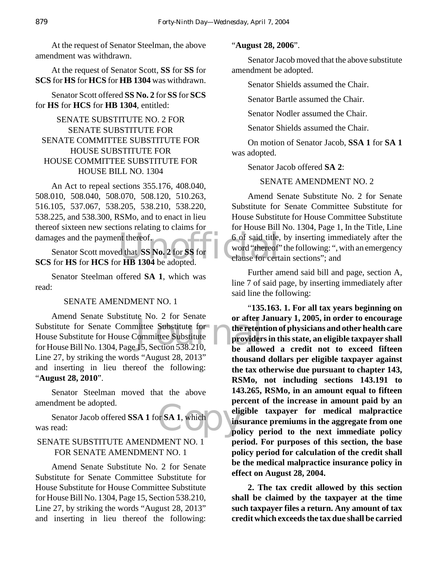At the request of Senator Steelman, the above amendment was withdrawn.

At the request of Senator Scott, **SS** for **SS** for **SCS** for **HS** for **HCS** for **HB 1304** was withdrawn.

Senator Scott offered **SS No. 2** for **SS** for **SCS** for **HS** for **HCS** for **HB 1304**, entitled:

# SENATE SUBSTITUTE NO. 2 FOR SENATE SUBSTITUTE FOR SENATE COMMITTEE SUBSTITUTE FOR HOUSE SUBSTITUTE FOR HOUSE COMMITTEE SUBSTITUTE FOR HOUSE BILL NO. 1304

An Act to repeal sections 355.176, 408.040, 508.010, 508.040, 508.070, 508.120, 510.263, 516.105, 537.067, 538.205, 538.210, 538.220, 538.225, and 538.300, RSMo, and to enact in lieu thereof sixteen new sections relating to claims for damages and the payment thereof.

nt thereof.<br>
d that SS No. 2 for SS for<br>
r HB 1304 be adopted. Senator Scott moved that **SS No. 2** for **SS** for **SCS** for **HS** for **HCS** for **HB 1304** be adopted.

Senator Steelman offered **SA 1**, which was read:

## SENATE AMENDMENT NO. 1

France Substitute<br>
Committee Substitute<br>
15, Section 538.210, be allow Amend Senate Substitute No. 2 for Senate Substitute for Senate Committee Substitute for House Substitute for House Committee Substitute for House Bill No. 1304, Page 15, Section 538.210, Line 27, by striking the words "August 28, 2013" and inserting in lieu thereof the following: "**August 28, 2010**".

Senator Steelman moved that the above amendment be adopted.

r SA 1, which eligned Senator Jacob offered **SSA 1** for **SA 1**, which was read:

# SENATE SUBSTITUTE AMENDMENT NO. 1 FOR SENATE AMENDMENT NO. 1

Amend Senate Substitute No. 2 for Senate Substitute for Senate Committee Substitute for House Substitute for House Committee Substitute for House Bill No. 1304, Page 15, Section 538.210, Line 27, by striking the words "August 28, 2013" and inserting in lieu thereof the following:

#### "**August 28, 2006**".

Senator Jacob moved that the above substitute amendment be adopted.

Senator Shields assumed the Chair.

Senator Bartle assumed the Chair.

Senator Nodler assumed the Chair.

Senator Shields assumed the Chair.

On motion of Senator Jacob, **SSA 1** for **SA 1** was adopted.

Senator Jacob offered **SA 2**:

# SENATE AMENDMENT NO. 2

Amend Senate Substitute No. 2 for Senate Substitute for Senate Committee Substitute for House Substitute for House Committee Substitute for House Bill No. 1304, Page 1, In the Title, Line 6 of said title, by inserting immediately after the word "thereof" the following: ", with an emergency clause for certain sections"; and

Further amend said bill and page, section A, line 7 of said page, by inserting immediately after said line the following:

"**135.163. 1. For all tax years beginning on or after January 1, 2005, in order to encourage the retention of physicians and other health care providers in this state, an eligible taxpayer shall be allowed a credit not to exceed fifteen thousand dollars per eligible taxpayer against the tax otherwise due pursuant to chapter 143, RSMo, not including sections 143.191 to 143.265, RSMo, in an amount equal to fifteen percent of the increase in amount paid by an eligible taxpayer for medical malpractice insurance premiums in the aggregate from one policy period to the next immediate policy period. For purposes of this section, the base policy period for calculation of the credit shall be the medical malpractice insurance policy in effect on August 28, 2004.**

**2. The tax credit allowed by this section shall be claimed by the taxpayer at the time such taxpayer files a return. Any amount of tax credit which exceeds the tax due shall be carried**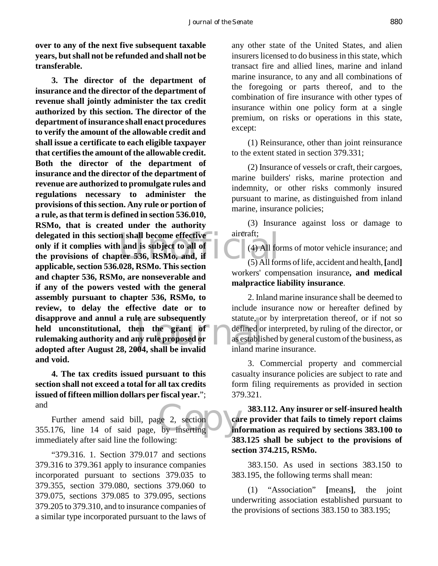**over to any of the next five subsequent taxable years, but shall not be refunded and shall not be transferable.**

delegated in this section shall become effective<br>
only if it complies with and is subject to all of<br>
the provisions of chapter 536, RSMo, and, if<br>
annihizable section 536,028, BSMo, This section (5) All for Ie are subsequently<br>
en the grant of defined of<br>
my rule proposed or<br>
104. shall be invalid inland ma **3. The director of the department of insurance and the director of the department of revenue shall jointly administer the tax credit authorized by this section. The director of the department of insurance shall enact procedures to verify the amount of the allowable credit and shall issue a certificate to each eligible taxpayer that certifies the amount of the allowable credit. Both the director of the department of insurance and the director of the department of revenue are authorized to promulgate rules and regulations necessary to administer the provisions of this section. Any rule or portion of a rule, as that term is defined in section 536.010, RSMo, that is created under the authority only if it complies with and is subject to all of the provisions of chapter 536, RSMo, and, if applicable, section 536.028, RSMo. This section and chapter 536, RSMo, are nonseverable and if any of the powers vested with the general assembly pursuant to chapter 536, RSMo, to review, to delay the effective date or to disapprove and annul a rule are subsequently held unconstitutional, then the grant of rulemaking authority and any rule proposed or adopted after August 28, 2004, shall be invalid and void.**

**4. The tax credits issued pursuant to this section shall not exceed a total for all tax credits issued of fifteen million dollars per fiscal year.**"; and

ge 2, section<br>by inserting in Further amend said bill, page 2, section 355.176, line 14 of said page, by inserting immediately after said line the following:

"379.316. 1. Section 379.017 and sections 379.316 to 379.361 apply to insurance companies incorporated pursuant to sections 379.035 to 379.355, section 379.080, sections 379.060 to 379.075, sections 379.085 to 379.095, sections 379.205 to 379.310, and to insurance companies of a similar type incorporated pursuant to the laws of

any other state of the United States, and alien insurers licensed to do business in this state, which transact fire and allied lines, marine and inland marine insurance, to any and all combinations of the foregoing or parts thereof, and to the combination of fire insurance with other types of insurance within one policy form at a single premium, on risks or operations in this state, except:

(1) Reinsurance, other than joint reinsurance to the extent stated in section 379.331;

(2) Insurance of vessels or craft, their cargoes, marine builders' risks, marine protection and indemnity, or other risks commonly insured pursuant to marine, as distinguished from inland marine, insurance policies;

(3) Insurance against loss or damage to aircraft;

(4) All forms of motor vehicle insurance; and

(5) All forms of life, accident and health, **[**and**]** workers' compensation insurance**, and medical malpractice liability insurance**.

2. Inland marine insurance shall be deemed to include insurance now or hereafter defined by statute, or by interpretation thereof, or if not so defined or interpreted, by ruling of the director, or as established by general custom of the business, as inland marine insurance.

3. Commercial property and commercial casualty insurance policies are subject to rate and form filing requirements as provided in section 379.321.

**383.112. Any insurer or self-insured health care provider that fails to timely report claims information as required by sections 383.100 to 383.125 shall be subject to the provisions of section 374.215, RSMo.**

383.150. As used in sections 383.150 to 383.195, the following terms shall mean:

(1) "Association" **[**means**]**, the joint underwriting association established pursuant to the provisions of sections 383.150 to 383.195;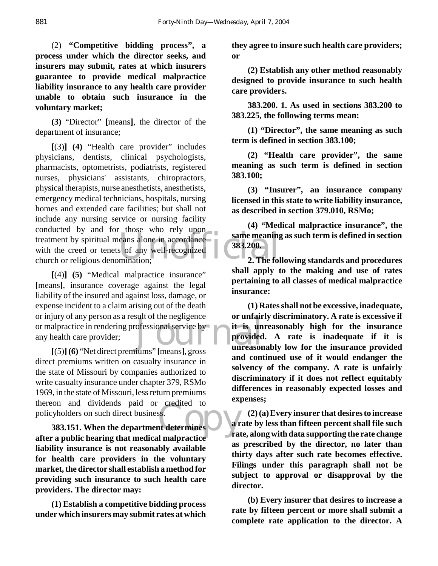(2) **"Competitive bidding process", a process under which the director seeks, and insurers may submit, rates at which insurers guarantee to provide medical malpractice liability insurance to any health care provider unable to obtain such insurance in the voluntary market;**

**(3)** "Director" **[**means**]**, the director of the department of insurance;

treatment by spiritual means alone in accordance<br>with the creed or tenets of any well-recognized<br>church or religious denomination;<br>2. The fol **[**(3)**] (4)** "Health care provider" includes physicians, dentists, clinical psychologists, pharmacists, optometrists, podiatrists, registered nurses, physicians' assistants, chiropractors, physical therapists, nurse anesthetists, anesthetists, emergency medical technicians, hospitals, nursing homes and extended care facilities; but shall not include any nursing service or nursing facility conducted by and for those who rely upon with the creed or tenets of any well-recognized church or religious denomination;

ofessional service by the it is un<br>provided<br>iums'' [means] gross unreason **[**(4)**] (5)** "Medical malpractice insurance" **[**means**]**, insurance coverage against the legal liability of the insured and against loss, damage, or expense incident to a claim arising out of the death or injury of any person as a result of the negligence or malpractice in rendering professional service by any health care provider;

ss.<br>
art determines<br>
art determines<br>
l'Imalmentiae **[**(5)**](6)** "Net direct premiums" **[**means**]**, gross direct premiums written on casualty insurance in the state of Missouri by companies authorized to write casualty insurance under chapter 379, RSMo 1969, in the state of Missouri, less return premiums thereon and dividends paid or credited to policyholders on such direct business.

**383.151. When the department determines after a public hearing that medical malpractice liability insurance is not reasonably available for health care providers in the voluntary market, the director shall establish a method for providing such insurance to such health care providers. The director may:**

**(1) Establish a competitive bidding process under which insurers may submit rates at which** **they agree to insure such health care providers; or**

**(2) Establish any other method reasonably designed to provide insurance to such health care providers.**

**383.200. 1. As used in sections 383.200 to 383.225, the following terms mean:**

**(1) "Director", the same meaning as such term is defined in section 383.100;**

**(2) "Health care provider", the same meaning as such term is defined in section 383.100;**

**(3) "Insurer", an insurance company licensed in this state to write liability insurance, as described in section 379.010, RSMo;**

**(4) "Medical malpractice insurance", the same meaning as such term is defined in section 383.200.**

**2. The following standards and procedures shall apply to the making and use of rates pertaining to all classes of medical malpractice insurance:**

**(1) Rates shall not be excessive, inadequate, or unfairly discriminatory. A rate is excessive if it is unreasonably high for the insurance provided. A rate is inadequate if it is unreasonably low for the insurance provided and continued use of it would endanger the solvency of the company. A rate is unfairly discriminatory if it does not reflect equitably differences in reasonably expected losses and expenses;**

**(2) (a) Every insurer that desires to increase a rate by less than fifteen percent shall file such rate, along with data supporting the rate change as prescribed by the director, no later than thirty days after such rate becomes effective. Filings under this paragraph shall not be subject to approval or disapproval by the director.**

**(b) Every insurer that desires to increase a rate by fifteen percent or more shall submit a complete rate application to the director. A**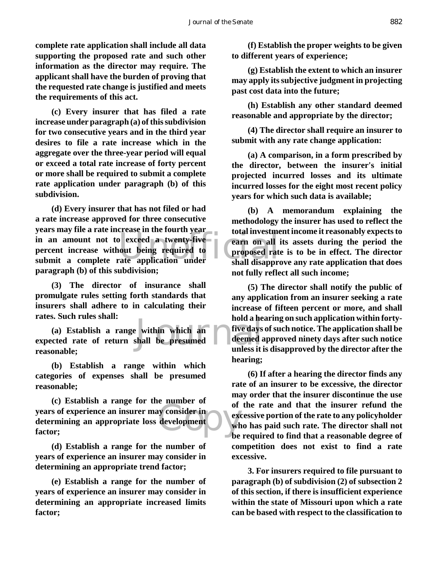**complete rate application shall include all data supporting the proposed rate and such other information as the director may require. The applicant shall have the burden of proving that the requested rate change is justified and meets the requirements of this act.**

**(c) Every insurer that has filed a rate increase under paragraph (a) of this subdivision for two consecutive years and in the third year desires to file a rate increase which in the aggregate over the three-year period will equal or exceed a total rate increase of forty percent or more shall be required to submit a complete rate application under paragraph (b) of this subdivision.**

Figures may the a rate mercule in the roard year of total investment<br>
in an amount not to exceed a twenty-five<br>
percent increase without being required to<br>
submit a complete rate application under<br>
shall disappre **(d) Every insurer that has not filed or had a rate increase approved for three consecutive years may file a rate increase in the fourth year percent increase without being required to submit a complete rate application under paragraph (b) of this subdivision;**

**(3) The director of insurance shall promulgate rules setting forth standards that insurers shall adhere to in calculating their rates. Such rules shall:**

a hold a he<br>
is within which an five days<br>
shall be presumed<br>
unless it is **(a) Establish a range within which an expected rate of return shall be presumed reasonable;**

**(b) Establish a range within which categories of expenses shall be presumed reasonable;**

Example of<br>
development<br>
development<br>
development<br>
development<br>
development<br>
development<br>
development<br>
development<br>
development<br>
development<br>
development<br>
development<br>
development<br>
development<br>
development<br>
development<br>
de **(c) Establish a range for the number of years of experience an insurer may consider in determining an appropriate loss development factor;**

**(d) Establish a range for the number of years of experience an insurer may consider in determining an appropriate trend factor;**

**(e) Establish a range for the number of years of experience an insurer may consider in determining an appropriate increased limits factor;**

**(f) Establish the proper weights to be given to different years of experience;**

**(g) Establish the extent to which an insurer may apply its subjective judgment in projecting past cost data into the future;**

**(h) Establish any other standard deemed reasonable and appropriate by the director;**

**(4) The director shall require an insurer to submit with any rate change application:**

**(a) A comparison, in a form prescribed by the director, between the insurer's initial projected incurred losses and its ultimate incurred losses for the eight most recent policy years for which such data is available;**

**(b) A memorandum explaining the methodology the insurer has used to reflect the total investment income it reasonably expects to earn on all its assets during the period the proposed rate is to be in effect. The director shall disapprove any rate application that does not fully reflect all such income;**

**(5) The director shall notify the public of any application from an insurer seeking a rate increase of fifteen percent or more, and shall hold a hearing on such application within fortyfive days of such notice. The application shall be deemed approved ninety days after such notice unless it is disapproved by the director after the hearing;**

**(6) If after a hearing the director finds any rate of an insurer to be excessive, the director may order that the insurer discontinue the use of the rate and that the insurer refund the excessive portion of the rate to any policyholder who has paid such rate. The director shall not be required to find that a reasonable degree of competition does not exist to find a rate excessive.**

**3. For insurers required to file pursuant to paragraph (b) of subdivision (2) of subsection 2 of this section, if there is insufficient experience within the state of Missouri upon which a rate can be based with respect to the classification to**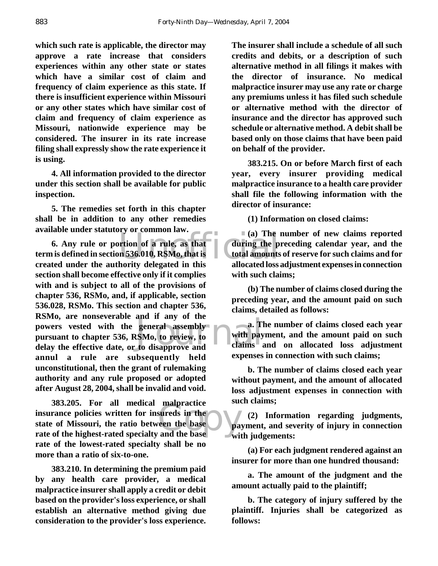**which such rate is applicable, the director may approve a rate increase that considers experiences within any other state or states which have a similar cost of claim and frequency of claim experience as this state. If there is insufficient experience within Missouri or any other states which have similar cost of claim and frequency of claim experience as Missouri, nationwide experience may be considered. The insurer in its rate increase filing shall expressly show the rate experience it is using.**

**4. All information provided to the director under this section shall be available for public inspection.**

**5. The remedies set forth in this chapter shall be in addition to any other remedies available under statutory or common law.**

(a) The intervals of a rule, as that during the p<br>in 536.010, RSMo, that is total amounts<br>hority delegated in this allocated loss and it any of the<br>general assembly<br>SMo, to review, to<br>to disapprove and claims **6. Any rule or portion of a rule, as that term is defined in section 536.010, RSMo, that is created under the authority delegated in this section shall become effective only if it complies with and is subject to all of the provisions of chapter 536, RSMo, and, if applicable, section 536.028, RSMo. This section and chapter 536, RSMo, are nonseverable and if any of the powers vested with the general assembly pursuant to chapter 536, RSMo, to review, to delay the effective date, or to disapprove and annul a rule are subsequently held unconstitutional, then the grant of rulemaking authority and any rule proposed or adopted after August 28, 2004, shall be invalid and void.**

mapractice<br>sureds in the<br>een the base<br>and the base **383.205. For all medical malpractice insurance policies written for insureds in the state of Missouri, the ratio between the base rate of the highest-rated specialty and the base rate of the lowest-rated specialty shall be no more than a ratio of six-to-one.**

**383.210. In determining the premium paid by any health care provider, a medical malpractice insurer shall apply a credit or debit based on the provider's loss experience, or shall establish an alternative method giving due consideration to the provider's loss experience.**

**The insurer shall include a schedule of all such credits and debits, or a description of such alternative method in all filings it makes with the director of insurance. No medical malpractice insurer may use any rate or charge any premiums unless it has filed such schedule or alternative method with the director of insurance and the director has approved such schedule or alternative method. A debit shall be based only on those claims that have been paid on behalf of the provider.**

**383.215. On or before March first of each year, every insurer providing medical malpractice insurance to a health care provider shall file the following information with the director of insurance:**

**(1) Information on closed claims:**

**(a) The number of new claims reported during the preceding calendar year, and the total amounts of reserve for such claims and for allocated loss adjustment expenses in connection with such claims;**

**(b) The number of claims closed during the preceding year, and the amount paid on such claims, detailed as follows:**

**a. The number of claims closed each year with payment, and the amount paid on such claims and on allocated loss adjustment expenses in connection with such claims;**

**b. The number of claims closed each year without payment, and the amount of allocated loss adjustment expenses in connection with such claims;**

**(2) Information regarding judgments, payment, and severity of injury in connection with judgements:**

**(a) For each judgment rendered against an insurer for more than one hundred thousand:**

**a. The amount of the judgment and the amount actually paid to the plaintiff;**

**b. The category of injury suffered by the plaintiff. Injuries shall be categorized as follows:**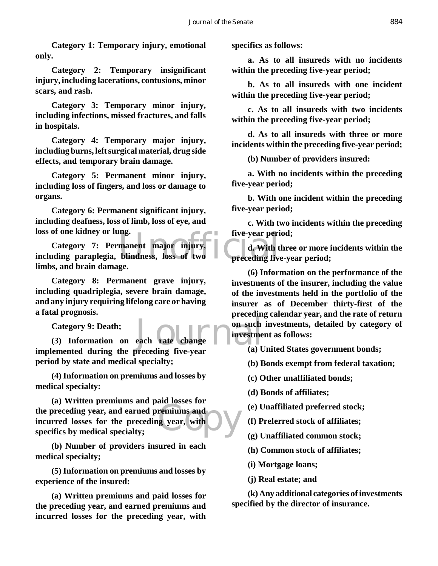**Category 1: Temporary injury, emotional only.**

**Category 2: Temporary insignificant injury, including lacerations, contusions, minor scars, and rash.**

**Category 3: Temporary minor injury, including infections, missed fractures, and falls in hospitals.**

**Category 4: Temporary major injury, including burns, left surgical material, drug side effects, and temporary brain damage.**

**Category 5: Permanent minor injury, including loss of fingers, and loss or damage to organs.**

**Category 6: Permanent significant injury, including deafness, loss of limb, loss of eye, and loss of one kidney or lung.**

Ioss of one kidney or lung.<br>
Category 7: Permanent major injury, d. With t<br>
including paraplegia, blindness, loss of two preceding five **Category 7: Permanent major injury, limbs, and brain damage.**

**Category 8: Permanent grave injury, including quadriplegia, severe brain damage, and any injury requiring lifelong care or having a fatal prognosis.**

**Category 9: Death;**

each rate change mon such<br>preceding five-year (a) **(3) Information on each rate change implemented during the preceding five-year period by state and medical specialty;**

**(4) Information on premiums and losses by medical specialty:**

(a) Written premiums and paid resistes for<br>the preceding year, and earned premiums and<br>incurred losses for the preceding year, with<br>specifics by medical specialty; **(a) Written premiums and paid losses for incurred losses for the preceding year, with specifics by medical specialty;**

**(b) Number of providers insured in each medical specialty;**

**(5) Information on premiums and losses by experience of the insured:**

**(a) Written premiums and paid losses for the preceding year, and earned premiums and incurred losses for the preceding year, with** **specifics as follows:**

**a. As to all insureds with no incidents within the preceding five-year period;**

**b. As to all insureds with one incident within the preceding five-year period;**

**c. As to all insureds with two incidents within the preceding five-year period;**

**d. As to all insureds with three or more incidents within the preceding five-year period;**

**(b) Number of providers insured:**

**a. With no incidents within the preceding five-year period;**

**b. With one incident within the preceding five-year period;**

**c. With two incidents within the preceding five-year period;**

**d. With three or more incidents within the preceding five-year period;**

**(6) Information on the performance of the investments of the insurer, including the value of the investments held in the portfolio of the insurer as of December thirty-first of the preceding calendar year, and the rate of return on such investments, detailed by category of investment as follows:**

**(a) United States government bonds;**

**(b) Bonds exempt from federal taxation;**

**(c) Other unaffiliated bonds;**

**(d) Bonds of affiliates;**

**(e) Unaffiliated preferred stock;**

**(f) Preferred stock of affiliates;**

**(g) Unaffiliated common stock;**

**(h) Common stock of affiliates;**

**(i) Mortgage loans;**

**(j) Real estate; and**

**(k) Any additional categories of investments specified by the director of insurance.**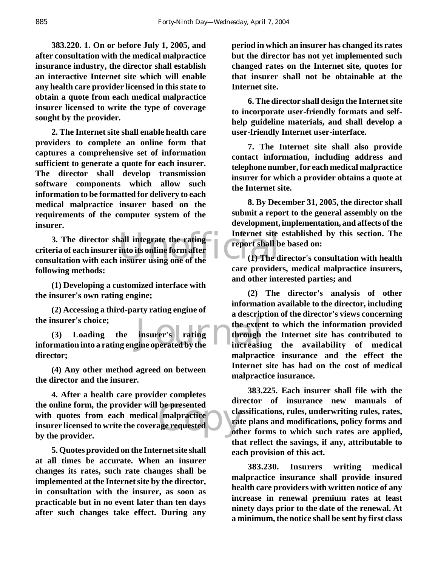**383.220. 1. On or before July 1, 2005, and after consultation with the medical malpractice insurance industry, the director shall establish an interactive Internet site which will enable any health care provider licensed in this state to obtain a quote from each medical malpractice insurer licensed to write the type of coverage sought by the provider.**

**2. The Internet site shall enable health care providers to complete an online form that captures a comprehensive set of information sufficient to generate a quote for each insurer. The director shall develop transmission software components which allow such information to be formatted for delivery to each medical malpractice insurer based on the requirements of the computer system of the insurer.**

3. The director shall integrate the rating<br>
criteria of each insurer into its online form after<br>
consultation with each insurer using one of the<br>
(1) The d **3. The director shall integrate the rating criteria of each insurer into its online form after following methods:**

**(1) Developing a customized interface with the insurer's own rating engine;**

**(2) Accessing a third-party rating engine of the insurer's choice;**

the insurer's choice;<br>
(3) Loading the insurer's rating the exter<br>
information into a rating engine operated by the increasin **(3) Loading the insurer's rating director;**

**(4) Any other method agreed on between the director and the insurer.**

be presented<br>
malpractice<br>
age requested<br>
oth **4. After a health care provider completes the online form, the provider will be presented with quotes from each medical malpractice insurer licensed to write the coverage requested by the provider.**

**5. Quotes provided on the Internet site shall at all times be accurate. When an insurer changes its rates, such rate changes shall be implemented at the Internet site by the director, in consultation with the insurer, as soon as practicable but in no event later than ten days after such changes take effect. During any**

**period in which an insurer has changed its rates but the director has not yet implemented such changed rates on the Internet site, quotes for that insurer shall not be obtainable at the Internet site.**

**6. The director shall design the Internet site to incorporate user-friendly formats and selfhelp guideline materials, and shall develop a user-friendly Internet user-interface.**

**7. The Internet site shall also provide contact information, including address and telephone number, for each medical malpractice insurer for which a provider obtains a quote at the Internet site.**

**8. By December 31, 2005, the director shall submit a report to the general assembly on the development, implementation, and affects of the Internet site established by this section. The report shall be based on:**

**(1) The director's consultation with health care providers, medical malpractice insurers, and other interested parties; and**

**(2) The director's analysis of other information available to the director, including a description of the director's views concerning the extent to which the information provided through the Internet site has contributed to increasing the availability of medical malpractice insurance and the effect the Internet site has had on the cost of medical malpractice insurance.**

**383.225. Each insurer shall file with the director of insurance new manuals of classifications, rules, underwriting rules, rates, rate plans and modifications, policy forms and other forms to which such rates are applied, that reflect the savings, if any, attributable to each provision of this act.**

**383.230. Insurers writing medical malpractice insurance shall provide insured health care providers with written notice of any increase in renewal premium rates at least ninety days prior to the date of the renewal. At a minimum, the notice shall be sent by first class**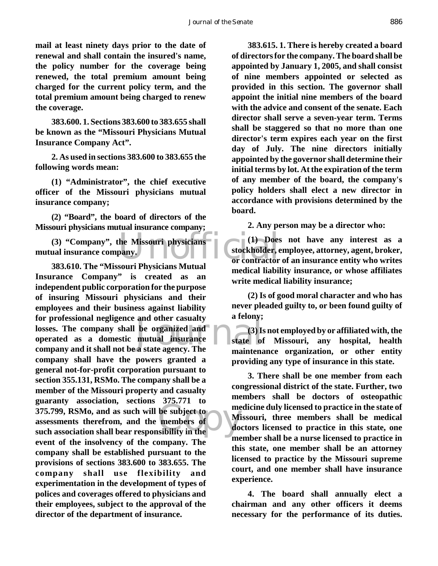**mail at least ninety days prior to the date of renewal and shall contain the insured's name, the policy number for the coverage being renewed, the total premium amount being charged for the current policy term, and the total premium amount being charged to renew the coverage.**

**383.600. 1. Sections 383.600 to 383.655 shall be known as the "Missouri Physicians Mutual Insurance Company Act".**

**2. As used in sections 383.600 to 383.655 the following words mean:**

**(1) "Administrator", the chief executive officer of the Missouri physicians mutual insurance company;**

**(2) "Board", the board of directors of the Missouri physicians mutual insurance company;**

he Missouri physicians (1) Does<br>pany. (3) Stockholder, example or contractor **(3) "Company", the Missouri physicians mutual insurance company.**

and other casualty<br>be organized and<br>mutual insurance<br>a state agency. The maintens **EXECUTE:**<br>
375.799, RSMo, and as such will be subject to<br>
assessments therefrom, and the members of<br>
such association shall bear responsibility in the **383.610. The "Missouri Physicians Mutual Insurance Company" is created as an independent public corporation for the purpose of insuring Missouri physicians and their employees and their business against liability for professional negligence and other casualty losses. The company shall be organized and operated as a domestic mutual insurance company and it shall not be a state agency. The company shall have the powers granted a general not-for-profit corporation pursuant to section 355.131, RSMo. The company shall be a member of the Missouri property and casualty guaranty association, sections 375.771 to assessments therefrom, and the members of such association shall bear responsibility in the event of the insolvency of the company. The company shall be established pursuant to the provisions of sections 383.600 to 383.655. The company shall use flexibility and experimentation in the development of types of polices and coverages offered to physicians and their employees, subject to the approval of the director of the department of insurance.**

**383.615. 1. There is hereby created a board of directors for the company. The board shall be appointed by January 1, 2005, and shall consist of nine members appointed or selected as provided in this section. The governor shall appoint the initial nine members of the board with the advice and consent of the senate. Each director shall serve a seven-year term. Terms shall be staggered so that no more than one director's term expires each year on the first day of July. The nine directors initially appointed by the governor shall determine their initial terms by lot. At the expiration of the term of any member of the board, the company's policy holders shall elect a new director in accordance with provisions determined by the board.**

**2. Any person may be a director who:**

**(1) Does not have any interest as a stockholder, employee, attorney, agent, broker, or contractor of an insurance entity who writes medical liability insurance, or whose affiliates write medical liability insurance;**

**(2) Is of good moral character and who has never pleaded guilty to, or been found guilty of a felony;**

**(3) Is not employed by or affiliated with, the state of Missouri, any hospital, health maintenance organization, or other entity providing any type of insurance in this state.**

**3. There shall be one member from each congressional district of the state. Further, two members shall be doctors of osteopathic medicine duly licensed to practice in the state of Missouri, three members shall be medical doctors licensed to practice in this state, one member shall be a nurse licensed to practice in this state, one member shall be an attorney licensed to practice by the Missouri supreme court, and one member shall have insurance experience.**

**4. The board shall annually elect a chairman and any other officers it deems necessary for the performance of its duties.**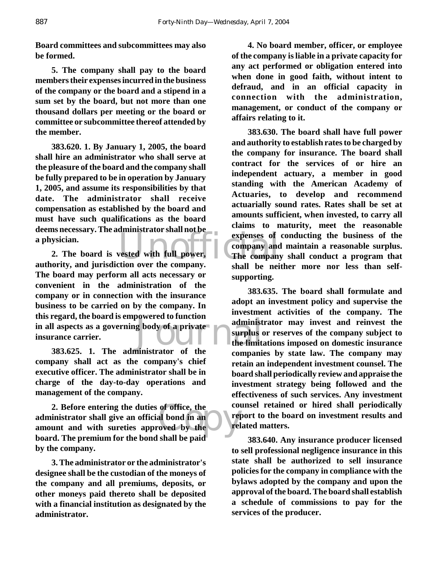**Board committees and subcommittees may also be formed.**

**5. The company shall pay to the board members their expenses incurred in the business of the company or the board and a stipend in a sum set by the board, but not more than one thousand dollars per meeting or the board or committee or subcommittee thereof attended by the member.**

**383.620. 1. By January 1, 2005, the board shall hire an administrator who shall serve at the pleasure of the board and the company shall be fully prepared to be in operation by January 1, 2005, and assume its responsibilities by that date. The administrator shall receive compensation as established by the board and must have such qualifications as the board deems necessary. The administrator shall not be a physician.**

g body of a private administ<br>surplus of the limits<br>initiative of the **2. The board is vested with full power, authority, and jurisdiction over the company. The board may perform all acts necessary or convenient in the administration of the company or in connection with the insurance business to be carried on by the company. In this regard, the board is empowered to function in all aspects as a governing body of a private insurance carrier.**

**383.625. 1. The administrator of the company shall act as the company's chief executive officer. The administrator shall be in charge of the day-to-day operations and management of the company.**

of office, the<br>al bond in an oved by the rel **2. Before entering the duties of office, the administrator shall give an official bond in an amount and with sureties approved by the board. The premium for the bond shall be paid by the company.**

**3. The administrator or the administrator's designee shall be the custodian of the moneys of the company and all premiums, deposits, or other moneys paid thereto shall be deposited with a financial institution as designated by the administrator.**

**4. No board member, officer, or employee of the company is liable in a private capacity for any act performed or obligation entered into when done in good faith, without intent to defraud, and in an official capacity in connection with the administration, management, or conduct of the company or affairs relating to it.**

expenses of<br>
vested with full power,<br>
The company<br>
tion over the company **383.630. The board shall have full power and authority to establish rates to be charged by the company for insurance. The board shall contract for the services of or hire an independent actuary, a member in good standing with the American Academy of Actuaries, to develop and recommend actuarially sound rates. Rates shall be set at amounts sufficient, when invested, to carry all claims to maturity, meet the reasonable expenses of conducting the business of the company and maintain a reasonable surplus. The company shall conduct a program that shall be neither more nor less than selfsupporting.**

> **383.635. The board shall formulate and adopt an investment policy and supervise the investment activities of the company. The administrator may invest and reinvest the surplus or reserves of the company subject to the limitations imposed on domestic insurance companies by state law. The company may retain an independent investment counsel. The board shall periodically review and appraise the investment strategy being followed and the effectiveness of such services. Any investment counsel retained or hired shall periodically report to the board on investment results and related matters.**

> **383.640. Any insurance producer licensed to sell professional negligence insurance in this state shall be authorized to sell insurance policies for the company in compliance with the bylaws adopted by the company and upon the approval of the board. The board shall establish a schedule of commissions to pay for the services of the producer.**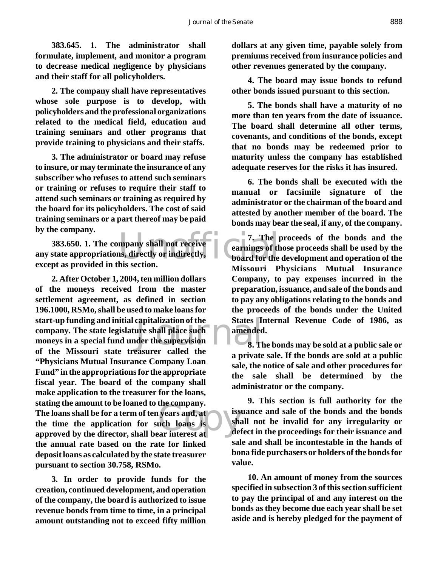**383.645. 1. The administrator shall formulate, implement, and monitor a program to decrease medical negligence by physicians and their staff for all policyholders.**

**2. The company shall have representatives whose sole purpose is to develop, with policyholders and the professional organizations related to the medical field, education and training seminars and other programs that provide training to physicians and their staffs.**

**3. The administrator or board may refuse to insure, or may terminate the insurance of any subscriber who refuses to attend such seminars or training or refuses to require their staff to attend such seminars or training as required by the board for its policyholders. The cost of said training seminars or a part thereof may be paid by the company.**

mpany shall not receive<br>
is, directly or indirectly,<br>
his section. **383.650. 1. The company shall not receive any state appropriations, directly or indirectly, except as provided in this section.**

capitalization of the States Laure shall place such<br>der the supervision<br>easurer called the States and States Example of the company.<br>
Example 2 are interest at the definition of the same state of the definition of the definition of the definition of the definition of the definition of the definition of the definition of the defin **2. After October 1, 2004, ten million dollars of the moneys received from the master settlement agreement, as defined in section 196.1000, RSMo, shall be used to make loans for start-up funding and initial capitalization of the company. The state legislature shall place such moneys in a special fund under the supervision of the Missouri state treasurer called the "Physicians Mutual Insurance Company Loan Fund" in the appropriations for the appropriate fiscal year. The board of the company shall make application to the treasurer for the loans, stating the amount to be loaned to the company. The loans shall be for a term of ten years and, at the time the application for such loans is approved by the director, shall bear interest at the annual rate based on the rate for linked deposit loans as calculated by the state treasurer pursuant to section 30.758, RSMo.**

**3. In order to provide funds for the creation, continued development, and operation of the company, the board is authorized to issue revenue bonds from time to time, in a principal amount outstanding not to exceed fifty million** **dollars at any given time, payable solely from premiums received from insurance policies and other revenues generated by the company.**

**4. The board may issue bonds to refund other bonds issued pursuant to this section.**

**5. The bonds shall have a maturity of no more than ten years from the date of issuance. The board shall determine all other terms, covenants, and conditions of the bonds, except that no bonds may be redeemed prior to maturity unless the company has established adequate reserves for the risks it has insured.**

**6. The bonds shall be executed with the manual or facsimile signature of the administrator or the chairman of the board and attested by another member of the board. The bonds may bear the seal, if any, of the company.**

**7. The proceeds of the bonds and the earnings of those proceeds shall be used by the board for the development and operation of the Missouri Physicians Mutual Insurance Company, to pay expenses incurred in the preparation, issuance, and sale of the bonds and to pay any obligations relating to the bonds and the proceeds of the bonds under the United States Internal Revenue Code of 1986, as amended.**

**8. The bonds may be sold at a public sale or a private sale. If the bonds are sold at a public sale, the notice of sale and other procedures for the sale shall be determined by the administrator or the company.**

**9. This section is full authority for the issuance and sale of the bonds and the bonds shall not be invalid for any irregularity or defect in the proceedings for their issuance and sale and shall be incontestable in the hands of bona fide purchasers or holders of the bonds for value.**

**10. An amount of money from the sources specified in subsection 3 of this section sufficient to pay the principal of and any interest on the bonds as they become due each year shall be set aside and is hereby pledged for the payment of**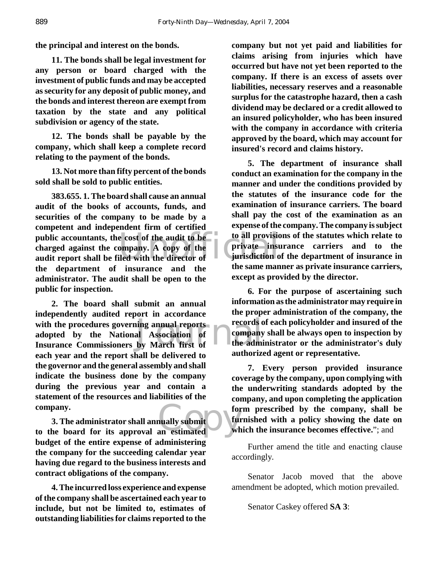**the principal and interest on the bonds.**

**11. The bonds shall be legal investment for any person or board charged with the investment of public funds and may be accepted as security for any deposit of public money, and the bonds and interest thereon are exempt from taxation by the state and any political subdivision or agency of the state.**

**12. The bonds shall be payable by the company, which shall keep a complete record relating to the payment of the bonds.**

**13. Not more than fifty percent of the bonds sold shall be sold to public entities.**

public accountants, the cost of the audit to be to all provision charged against the company. A copy of the private insulation of and the report shall be filed with the director of the same many **383.655. 1. The board shall cause an annual audit of the books of accounts, funds, and securities of the company to be made by a competent and independent firm of certified public accountants, the cost of the audit to be charged against the company. A copy of the the department of insurance and the administrator. The audit shall be open to the public for inspection.**

with the procedures governing annual reports<br>
adopted by the National Association of The admi<br>
Insurance Commissioners by March first of the admi **2. The board shall submit an annual independently audited report in accordance adopted by the National Association of Insurance Commissioners by March first of each year and the report shall be delivered to the governor and the general assembly and shall indicate the business done by the company during the previous year and contain a statement of the resources and liabilities of the company.**

company.<br> **3. The administrator shall annually submit**<br> **to the board for its approval an estimated** wh **3. The administrator shall annually submit budget of the entire expense of administering the company for the succeeding calendar year having due regard to the business interests and contract obligations of the company.**

**4. The incurred loss experience and expense of the company shall be ascertained each year to include, but not be limited to, estimates of outstanding liabilities for claims reported to the**

**company but not yet paid and liabilities for claims arising from injuries which have occurred but have not yet been reported to the company. If there is an excess of assets over liabilities, necessary reserves and a reasonable surplus for the catastrophe hazard, then a cash dividend may be declared or a credit allowed to an insured policyholder, who has been insured with the company in accordance with criteria approved by the board, which may account for insured's record and claims history.**

**5. The department of insurance shall conduct an examination for the company in the manner and under the conditions provided by the statutes of the insurance code for the examination of insurance carriers. The board shall pay the cost of the examination as an expense of the company. The company is subject to all provisions of the statutes which relate to private insurance carriers and to the jurisdiction of the department of insurance in the same manner as private insurance carriers, except as provided by the director.**

**6. For the purpose of ascertaining such information as the administrator may require in the proper administration of the company, the records of each policyholder and insured of the company shall be always open to inspection by the administrator or the administrator's duly authorized agent or representative.**

**7. Every person provided insurance coverage by the company, upon complying with the underwriting standards adopted by the company, and upon completing the application form prescribed by the company, shall be furnished with a policy showing the date on which the insurance becomes effective.**"; and

Further amend the title and enacting clause accordingly.

Senator Jacob moved that the above amendment be adopted, which motion prevailed.

Senator Caskey offered **SA 3**: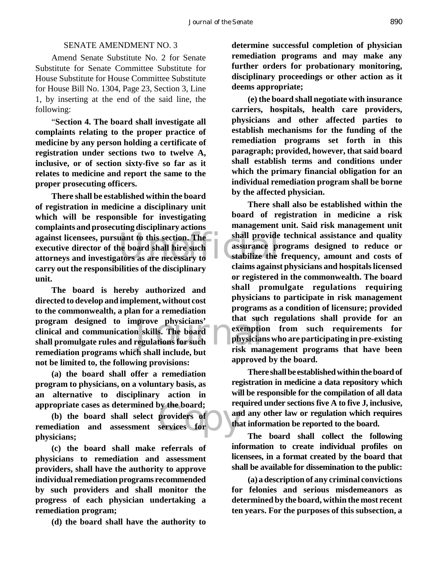# SENATE AMENDMENT NO. 3

Amend Senate Substitute No. 2 for Senate Substitute for Senate Committee Substitute for House Substitute for House Committee Substitute for House Bill No. 1304, Page 23, Section 3, Line 1, by inserting at the end of the said line, the following:

"**Section 4. The board shall investigate all complaints relating to the proper practice of medicine by any person holding a certificate of registration under sections two to twelve A, inclusive, or of section sixty-five so far as it relates to medicine and report the same to the proper prosecuting officers.**

against licensees, pursuant to this section. The<br>
executive director of the board shall hire such<br>
attorneys and investigators as are necessary to<br>
stabilize the<br>
alsima against **There shall be established within the board of registration in medicine a disciplinary unit which will be responsible for investigating complaints and prosecuting disciplinary actions executive director of the board shall hire such attorneys and investigators as are necessary to carry out the responsibilities of the disciplinary unit.**

program designed to improve physicians' that such<br>
clinical and communication skills. The board<br>
shall promulgate rules and regulations for such<br>
managliation programs which shall include but risk may **The board is hereby authorized and directed to develop and implement, without cost to the commonwealth, a plan for a remediation program designed to improve physicians' clinical and communication skills. The board remediation programs which shall include, but not be limited to, the following provisions:**

**(a) the board shall offer a remediation program to physicians, on a voluntary basis, as an alternative to disciplinary action in appropriate cases as determined by the board;**

by the board;<br>providers of and the<br>services for the **(b) the board shall select providers of remediation and assessment services for physicians;**

**(c) the board shall make referrals of physicians to remediation and assessment providers, shall have the authority to approve individual remediation programs recommended by such providers and shall monitor the progress of each physician undertaking a remediation program;**

**(d) the board shall have the authority to**

**determine successful completion of physician remediation programs and may make any further orders for probationary monitoring, disciplinary proceedings or other action as it deems appropriate;**

**(e) the board shall negotiate with insurance carriers, hospitals, health care providers, physicians and other affected parties to establish mechanisms for the funding of the remediation programs set forth in this paragraph; provided, however, that said board shall establish terms and conditions under which the primary financial obligation for an individual remediation program shall be borne by the affected physician.**

**There shall also be established within the board of registration in medicine a risk management unit. Said risk management unit shall provide technical assistance and quality assurance programs designed to reduce or stabilize the frequency, amount and costs of claims against physicians and hospitals licensed or registered in the commonwealth. The board shall promulgate regulations requiring physicians to participate in risk management programs as a condition of licensure; provided that such regulations shall provide for an exemption from such requirements for physicians who are participating in pre-existing risk management programs that have been approved by the board.**

**There shall be established within the board of registration in medicine a data repository which will be responsible for the compilation of all data required under sections five A to five J, inclusive, and any other law or regulation which requires that information be reported to the board.**

**The board shall collect the following information to create individual profiles on licensees, in a format created by the board that shall be available for dissemination to the public:**

**(a) a description of any criminal convictions for felonies and serious misdemeanors as determined by the board, within the most recent ten years. For the purposes of this subsection, a**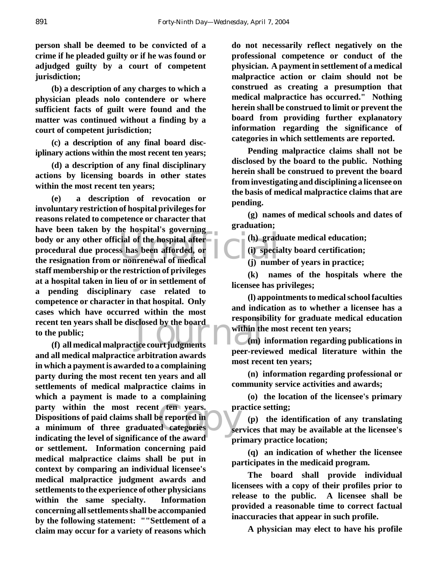**person shall be deemed to be convicted of a crime if he pleaded guilty or if he was found or adjudged guilty by a court of competent jurisdiction;**

**(b) a description of any charges to which a physician pleads nolo contendere or where sufficient facts of guilt were found and the matter was continued without a finding by a court of competent jurisdiction;**

**(c) a description of any final board disciplinary actions within the most recent ten years;**

**(d) a description of any final disciplinary actions by licensing boards in other states within the most recent ten years;**

body or any other official of the hospital after<br>
procedural due process has been afforded, or<br>
the resignation from or nonrenewal of medical (j) numb recent ten years shall be disclosed by the board<br>to the public;<br>(f) all medical malpractice court judgments **(e) a description of revocation or involuntary restriction of hospital privileges for reasons related to competence or character that have been taken by the hospital's governing procedural due process has been afforded, or the resignation from or nonrenewal of medical staff membership or the restriction of privileges at a hospital taken in lieu of or in settlement of a pending disciplinary case related to competence or character in that hospital. Only cases which have occurred within the most to the public;**

party within the most recent ten years. provided provided in a minimum of three graduated categories series and the lowel of significance of the award **(f) all medical malpractice court judgments and all medical malpractice arbitration awards in which a payment is awarded to a complaining party during the most recent ten years and all settlements of medical malpractice claims in which a payment is made to a complaining Dispositions of paid claims shall be reported in a minimum of three graduated categories indicating the level of significance of the award or settlement. Information concerning paid medical malpractice claims shall be put in context by comparing an individual licensee's medical malpractice judgment awards and settlements to the experience of other physicians within the same specialty. Information concerning all settlements shall be accompanied by the following statement: ""Settlement of a claim may occur for a variety of reasons which**

**do not necessarily reflect negatively on the professional competence or conduct of the physician. A payment in settlement of a medical malpractice action or claim should not be construed as creating a presumption that medical malpractice has occurred." Nothing herein shall be construed to limit or prevent the board from providing further explanatory information regarding the significance of categories in which settlements are reported.**

**Pending malpractice claims shall not be disclosed by the board to the public. Nothing herein shall be construed to prevent the board from investigating and disciplining a licensee on the basis of medical malpractice claims that are pending.**

**(g) names of medical schools and dates of graduation;**

**(h) graduate medical education;**

**(i) specialty board certification;**

**(j) number of years in practice;**

**(k) names of the hospitals where the licensee has privileges;**

**(l) appointments to medical school faculties and indication as to whether a licensee has a responsibility for graduate medical education within the most recent ten years;**

**(m) information regarding publications in peer-reviewed medical literature within the most recent ten years;**

**(n) information regarding professional or community service activities and awards;**

**(o) the location of the licensee's primary practice setting;**

**(p) the identification of any translating services that may be available at the licensee's primary practice location;**

**(q) an indication of whether the licensee participates in the medicaid program.**

**The board shall provide individual licensees with a copy of their profiles prior to release to the public. A licensee shall be provided a reasonable time to correct factual inaccuracies that appear in such profile.**

**A physician may elect to have his profile**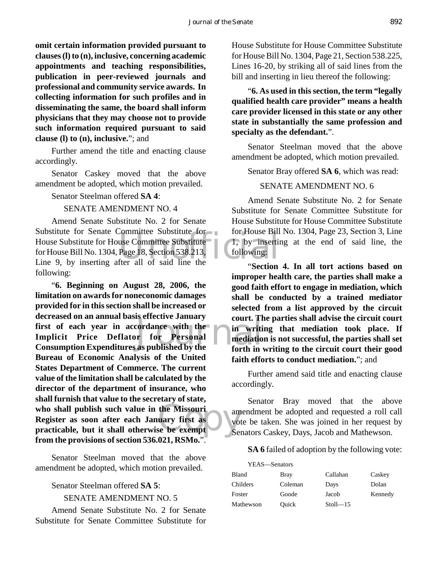**omit certain information provided pursuant to clauses (l) to (n), inclusive, concerning academic appointments and teaching responsibilities, publication in peer-reviewed journals and professional and community service awards. In collecting information for such profiles and in disseminating the same, the board shall inform physicians that they may choose not to provide such information required pursuant to said clause (l) to (n), inclusive.**"; and

Further amend the title and enacting clause accordingly.

Senator Caskey moved that the above amendment be adopted, which motion prevailed.

Senator Steelman offered **SA 4**:

# SENATE AMENDMENT NO. 4

Committee Substitute<br>
use Committee Substitute<br>
Page 18, Section 538.213,<br>
following:<br>
fer all of said line the<br>
"Section" Amend Senate Substitute No. 2 for Senate Substitute for Senate Committee Substitute for House Substitute for House Committee Substitute for House Bill No. 1304, Page 18, Section 538.213, Line 9, by inserting after all of said line the following:

Example of the court.<br>
Fordance with the in writing<br>
ourt. If<br>  $\frac{1}{10}$  in writing<br>  $\frac{1}{10}$  in writing<br>  $\frac{1}{10}$  in writing<br>  $\frac{1}{10}$  in writing who shall publish such value in the Missouri<br> **Register as soon after each January first as**<br>
practicable, but it shall otherwise be exempt<br>
Ser "**6. Beginning on August 28, 2006, the limitation on awards for noneconomic damages provided for in this section shall be increased or decreased on an annual basis effective January first of each year in accordance with the Implicit Price Deflator for Personal Consumption Expenditures as published by the Bureau of Economic Analysis of the United States Department of Commerce. The current value of the limitation shall be calculated by the director of the department of insurance, who shall furnish that value to the secretary of state, who shall publish such value in the Missouri Register as soon after each January first as from the provisions of section 536.021, RSMo.**".

Senator Steelman moved that the above amendment be adopted, which motion prevailed.

# Senator Steelman offered **SA 5**:

SENATE AMENDMENT NO. 5

Amend Senate Substitute No. 2 for Senate Substitute for Senate Committee Substitute for

House Substitute for House Committee Substitute for House Bill No. 1304, Page 21, Section 538.225, Lines 16-20, by striking all of said lines from the bill and inserting in lieu thereof the following:

"**6. As used in this section, the term "legally qualified health care provider" means a health care provider licensed in this state or any other state in substantially the same profession and specialty as the defendant.**".

Senator Steelman moved that the above amendment be adopted, which motion prevailed.

Senator Bray offered **SA 6**, which was read:

# SENATE AMENDMENT NO. 6

Amend Senate Substitute No. 2 for Senate Substitute for Senate Committee Substitute for House Substitute for House Committee Substitute for House Bill No. 1304, Page 23, Section 3, Line 1, by inserting at the end of said line, the following:

"**Section 4. In all tort actions based on improper health care, the parties shall make a good faith effort to engage in mediation, which shall be conducted by a trained mediator selected from a list approved by the circuit court. The parties shall advise the circuit court in writing that mediation took place. If mediation is not successful, the parties shall set forth in writing to the circuit court their good faith efforts to conduct mediation.**"; and

Further amend said title and enacting clause accordingly.

Senator Bray moved that the above amendment be adopted and requested a roll call vote be taken. She was joined in her request by Senators Caskey, Days, Jacob and Mathewson.

**SA 6** failed of adoption by the following vote:

| YEAS—Senators |         |              |         |
|---------------|---------|--------------|---------|
| <b>Bland</b>  | Bray    | Callahan     | Caskey  |
| Childers      | Coleman | Days         | Dolan   |
| Foster        | Goode   | Jacob        | Kennedy |
| Mathewson     | Ouick   | $Stoll - 15$ |         |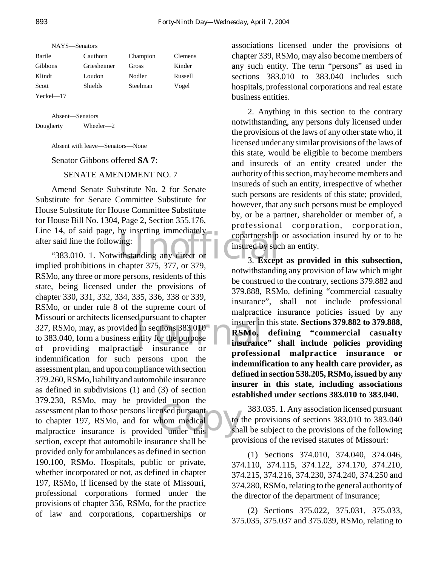| NAYS—Senators  |                |          |         |
|----------------|----------------|----------|---------|
| Bartle         | Cauthorn       | Champion | Clemens |
| <b>Gibbons</b> | Griesheimer    | Gross    | Kinder  |
| Klindt         | Loudon         | Nodler   | Russell |
| Scott          | <b>Shields</b> | Steelman | Vogel   |
| $Yeckel = 17$  |                |          |         |

Absent—Senators Dougherty Wheeler—2

Absent with leave—Senators—None

Senator Gibbons offered **SA 7**:

#### SENATE AMENDMENT NO. 7

Line 14, of said page, by inserting immediately<br>
after said line the following:<br>
"383.010. 1. Notwithstanding any direct or and the same implied probibitions in chapter 375, 377, or 379 Amend Senate Substitute No. 2 for Senate Substitute for Senate Committee Substitute for House Substitute for House Committee Substitute for House Bill No. 1304, Page 2, Section 355.176, after said line the following:

d pursuant to chapter<br>
d in sections 383.010<br>
muity for the purpose<br>
ce insurance or examples<br>
ensed pursuant<br>
the medical<br>
dunder this sha "383.010. 1. Notwithstanding any direct or implied prohibitions in chapter 375, 377, or 379, RSMo, any three or more persons, residents of this state, being licensed under the provisions of chapter 330, 331, 332, 334, 335, 336, 338 or 339, RSMo, or under rule 8 of the supreme court of Missouri or architects licensed pursuant to chapter 327, RSMo, may, as provided in sections 383.010 to 383.040, form a business entity for the purpose of providing malpractice insurance or indemnification for such persons upon the assessment plan, and upon compliance with section 379.260, RSMo, liability and automobile insurance as defined in subdivisions (1) and (3) of section 379.230, RSMo, may be provided upon the assessment plan to those persons licensed pursuant to chapter 197, RSMo, and for whom medical malpractice insurance is provided under this section, except that automobile insurance shall be provided only for ambulances as defined in section 190.100, RSMo. Hospitals, public or private, whether incorporated or not, as defined in chapter 197, RSMo, if licensed by the state of Missouri, professional corporations formed under the provisions of chapter 356, RSMo, for the practice of law and corporations, copartnerships or

associations licensed under the provisions of chapter 339, RSMo, may also become members of any such entity. The term "persons" as used in sections 383.010 to 383.040 includes such hospitals, professional corporations and real estate business entities.

2. Anything in this section to the contrary notwithstanding, any persons duly licensed under the provisions of the laws of any other state who, if licensed under any similar provisions of the laws of this state, would be eligible to become members and insureds of an entity created under the authority of this section, may become members and insureds of such an entity, irrespective of whether such persons are residents of this state; provided, however, that any such persons must be employed by, or be a partner, shareholder or member of, a professional corporation, corporation, copartnership or association insured by or to be insured by such an entity.

3. **Except as provided in this subsection,** notwithstanding any provision of law which might be construed to the contrary, sections 379.882 and 379.888, RSMo, defining "commercial casualty insurance", shall not include professional malpractice insurance policies issued by any insurer in this state. **Sections 379.882 to 379.888, RSMo, defining "commercial casualty insurance" shall include policies providing professional malpractice insurance or indemnification to any health care provider, as defined in section 538.205, RSMo, issued by any insurer in this state, including associations established under sections 383.010 to 383.040.**

383.035. 1. Any association licensed pursuant to the provisions of sections 383.010 to 383.040 shall be subject to the provisions of the following provisions of the revised statutes of Missouri:

(1) Sections 374.010, 374.040, 374.046, 374.110, 374.115, 374.122, 374.170, 374.210, 374.215, 374.216, 374.230, 374.240, 374.250 and 374.280, RSMo, relating to the general authority of the director of the department of insurance;

(2) Sections 375.022, 375.031, 375.033, 375.035, 375.037 and 375.039, RSMo, relating to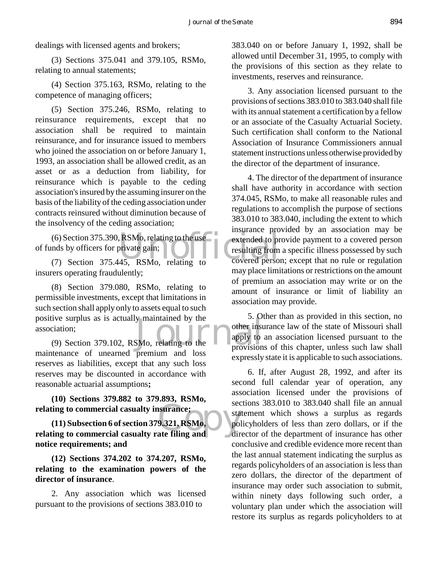dealings with licensed agents and brokers;

(3) Sections 375.041 and 379.105, RSMo, relating to annual statements;

(4) Section 375.163, RSMo, relating to the competence of managing officers;

(5) Section 375.246, RSMo, relating to reinsurance requirements, except that no association shall be required to maintain reinsurance, and for insurance issued to members who joined the association on or before January 1, 1993, an association shall be allowed credit, as an asset or as a deduction from liability, for reinsurance which is payable to the ceding association's insured by the assuming insurer on the basis of the liability of the ceding association under contracts reinsured without diminution because of the insolvency of the ceding association;

(6) Section 375.390, RSMo, relating to the use<br>
mds by officers for private gain;<br>
(7) Section 375.445, RSMo, relating to covered perso of funds by officers for private gain;

(7) Section 375.445, RSMo, relating to insurers operating fraudulently;

The Street Section:<br>
(9) Section 379.102, RSMo, relating to the apply to<br>
(9) Section 379.102, RSMo, relating to the provision (8) Section 379.080, RSMo, relating to permissible investments, except that limitations in such section shall apply only to assets equal to such positive surplus as is actually maintained by the association;

maintenance of unearned premium and loss reserves as liabilities, except that any such loss reserves may be discounted in accordance with reasonable actuarial assumptions**;**

**(10) Sections 379.882 to 379.893, RSMo, relating to commercial casualty insurance;**

surance;<br>
9.321, RSMo, sta<br>
ate filing and dir **(11) Subsection 6 of section 379.321, RSMo, relating to commercial casualty rate filing and notice requirements; and**

**(12) Sections 374.202 to 374.207, RSMo, relating to the examination powers of the director of insurance**.

2. Any association which was licensed pursuant to the provisions of sections 383.010 to

383.040 on or before January 1, 1992, shall be allowed until December 31, 1995, to comply with the provisions of this section as they relate to investments, reserves and reinsurance.

3. Any association licensed pursuant to the provisions of sections 383.010 to 383.040 shall file with its annual statement a certification by a fellow or an associate of the Casualty Actuarial Society. Such certification shall conform to the National Association of Insurance Commissioners annual statement instructions unless otherwise provided by the director of the department of insurance.

4. The director of the department of insurance shall have authority in accordance with section 374.045, RSMo, to make all reasonable rules and regulations to accomplish the purpose of sections 383.010 to 383.040, including the extent to which insurance provided by an association may be extended to provide payment to a covered person resulting from a specific illness possessed by such covered person; except that no rule or regulation may place limitations or restrictions on the amount of premium an association may write or on the amount of insurance or limit of liability an association may provide.

5. Other than as provided in this section, no other insurance law of the state of Missouri shall apply to an association licensed pursuant to the provisions of this chapter, unless such law shall expressly state it is applicable to such associations.

6. If, after August 28, 1992, and after its second full calendar year of operation, any association licensed under the provisions of sections 383.010 to 383.040 shall file an annual statement which shows a surplus as regards policyholders of less than zero dollars, or if the director of the department of insurance has other conclusive and credible evidence more recent than the last annual statement indicating the surplus as regards policyholders of an association is less than zero dollars, the director of the department of insurance may order such association to submit, within ninety days following such order, a voluntary plan under which the association will restore its surplus as regards policyholders to at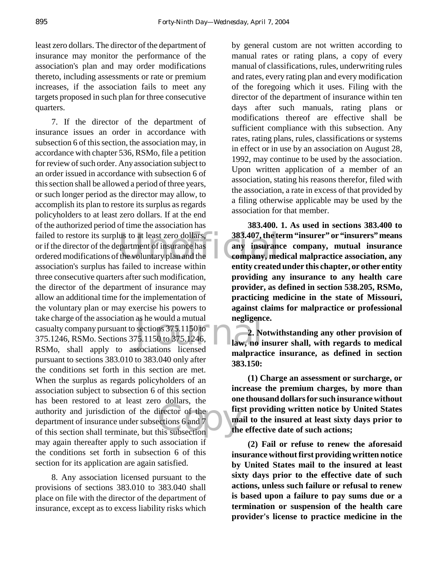least zero dollars. The director of the department of insurance may monitor the performance of the association's plan and may order modifications thereto, including assessments or rate or premium increases, if the association fails to meet any targets proposed in such plan for three consecutive quarters.

failed to restore its surplus to at least zero dollars,<br>
or if the director of the department of insurance has<br>
ordered modifications of the voluntary plan and the<br>
secondary and the<br>
secondary surplus has failed to insura as he would a mutual<br>sections  $375.1150$  to  $75.1150$  to  $375.1246$ ,  $12.80$ <br>sociations licensed The authority and jurisdiction of the director of the director of the department of insurance under subsections 6 and 7 7. If the director of the department of insurance issues an order in accordance with subsection 6 of this section, the association may, in accordance with chapter 536, RSMo, file a petition for review of such order. Any association subject to an order issued in accordance with subsection 6 of this section shall be allowed a period of three years, or such longer period as the director may allow, to accomplish its plan to restore its surplus as regards policyholders to at least zero dollars. If at the end of the authorized period of time the association has or if the director of the department of insurance has ordered modifications of the voluntary plan and the association's surplus has failed to increase within three consecutive quarters after such modification, the director of the department of insurance may allow an additional time for the implementation of the voluntary plan or may exercise his powers to take charge of the association as he would a mutual casualty company pursuant to sections 375.1150 to 375.1246, RSMo. Sections 375.1150 to 375.1246, RSMo, shall apply to associations licensed pursuant to sections 383.010 to 383.040 only after the conditions set forth in this section are met. When the surplus as regards policyholders of an association subject to subsection 6 of this section has been restored to at least zero dollars, the authority and jurisdiction of the director of the department of insurance under subsections 6 and 7 may again thereafter apply to such association  $\overline{f}$ the conditions set forth in subsection 6 of this section for its application are again satisfied.

8. Any association licensed pursuant to the provisions of sections 383.010 to 383.040 shall place on file with the director of the department of insurance, except as to excess liability risks which

by general custom are not written according to manual rates or rating plans, a copy of every manual of classifications, rules, underwriting rules and rates, every rating plan and every modification of the foregoing which it uses. Filing with the director of the department of insurance within ten days after such manuals, rating plans or modifications thereof are effective shall be sufficient compliance with this subsection. Any rates, rating plans, rules, classifications or systems in effect or in use by an association on August 28, 1992, may continue to be used by the association. Upon written application of a member of an association, stating his reasons therefor, filed with the association, a rate in excess of that provided by a filing otherwise applicable may be used by the association for that member.

**383.400. 1. As used in sections 383.400 to 383.407, the term "insurer" or "insurers" means any insurance company, mutual insurance company, medical malpractice association, any entity created under this chapter, or other entity providing any insurance to any health care provider, as defined in section 538.205, RSMo, practicing medicine in the state of Missouri, against claims for malpractice or professional negligence.**

**2. Notwithstanding any other provision of law, no insurer shall, with regards to medical malpractice insurance, as defined in section 383.150:**

**(1) Charge an assessment or surcharge, or increase the premium charges, by more than one thousand dollars for such insurance without first providing written notice by United States mail to the insured at least sixty days prior to the effective date of such actions;**

**(2) Fail or refuse to renew the aforesaid insurance without first providing written notice by United States mail to the insured at least sixty days prior to the effective date of such actions, unless such failure or refusal to renew is based upon a failure to pay sums due or a termination or suspension of the health care provider's license to practice medicine in the**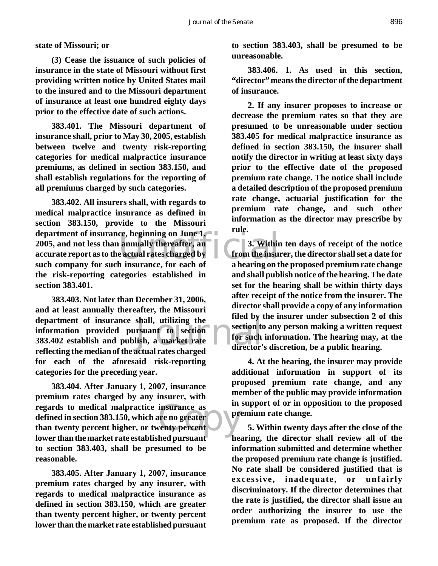**state of Missouri; or**

**(3) Cease the issuance of such policies of insurance in the state of Missouri without first providing written notice by United States mail to the insured and to the Missouri department of insurance at least one hundred eighty days prior to the effective date of such actions.**

**383.401. The Missouri department of insurance shall, prior to May 30, 2005, establish between twelve and twenty risk-reporting categories for medical malpractice insurance premiums, as defined in section 383.150, and shall establish regulations for the reporting of all premiums charged by such categories.**

ee, beginning on June 1,<br>
annually thereafter, an<br>
e actual rates charged by<br>
h insurance, for each of a hearing on t **383.402. All insurers shall, with regards to medical malpractice insurance as defined in section 383.150, provide to the Missouri department of insurance, beginning on June 1, 2005, and not less than annually thereafter, an accurate report as to the actual rates charged by such company for such insurance, for each of the risk-reporting categories established in section 383.401.**

shall, utilizing the<br>
rsuant to section<br>
lish, a market rate<br>
actual rates charged<br>
director's **383.403. Not later than December 31, 2006, and at least annually thereafter, the Missouri department of insurance shall, utilizing the information provided pursuant to section 383.402 establish and publish, a market rate reflecting the median of the actual rates charged for each of the aforesaid risk-reporting categories for the preceding year.**

insurance as<br>
are no greater  $\sum_{k=1}^{\infty}$ **383.404. After January 1, 2007, insurance premium rates charged by any insurer, with regards to medical malpractice insurance as defined in section 383.150, which are no greater than twenty percent higher, or twenty percent lower than the market rate established pursuant to section 383.403, shall be presumed to be reasonable.**

**383.405. After January 1, 2007, insurance premium rates charged by any insurer, with regards to medical malpractice insurance as defined in section 383.150, which are greater than twenty percent higher, or twenty percent lower than the market rate established pursuant**

**to section 383.403, shall be presumed to be unreasonable.**

**383.406. 1. As used in this section, "director" means the director of the department of insurance.**

**2. If any insurer proposes to increase or decrease the premium rates so that they are presumed to be unreasonable under section 383.405 for medical malpractice insurance as defined in section 383.150, the insurer shall notify the director in writing at least sixty days prior to the effective date of the proposed premium rate change. The notice shall include a detailed description of the proposed premium rate change, actuarial justification for the premium rate change, and such other information as the director may prescribe by rule.**

**3. Within ten days of receipt of the notice from the insurer, the director shall set a date for a hearing on the proposed premium rate change and shall publish notice of the hearing. The date set for the hearing shall be within thirty days after receipt of the notice from the insurer. The director shall provide a copy of any information filed by the insurer under subsection 2 of this section to any person making a written request for such information. The hearing may, at the director's discretion, be a public hearing.**

**4. At the hearing, the insurer may provide additional information in support of its proposed premium rate change, and any member of the public may provide information in support of or in opposition to the proposed premium rate change.**

**5. Within twenty days after the close of the hearing, the director shall review all of the information submitted and determine whether the proposed premium rate change is justified. No rate shall be considered justified that is excessive, inadequate, or unfairly discriminatory. If the director determines that the rate is justified, the director shall issue an order authorizing the insurer to use the premium rate as proposed. If the director**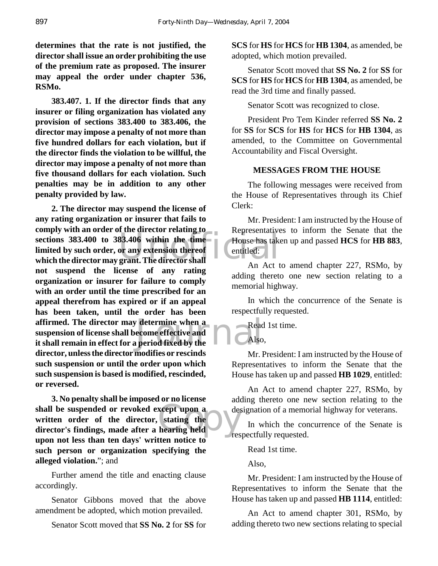**determines that the rate is not justified, the director shall issue an order prohibiting the use of the premium rate as proposed. The insurer may appeal the order under chapter 536, RSMo.**

**383.407. 1. If the director finds that any insurer or filing organization has violated any provision of sections 383.400 to 383.406, the director may impose a penalty of not more than five hundred dollars for each violation, but if the director finds the violation to be willful, the director may impose a penalty of not more than five thousand dollars for each violation. Such penalties may be in addition to any other penalty provided by law.**

Expressed and the director relating to the director relating to the director sections 383.400 to 383.406 within the time House has take<br>
limited by such order, or any extension thereof entitled: determine when a<br>
ecome effective and<br>
period fixed by the<br>
life **2. The director may suspend the license of any rating organization or insurer that fails to comply with an order of the director relating to sections 383.400 to 383.406 within the time limited by such order, or any extension thereof not suspend the license of any rating organization or insurer for failure to comply with an order until the time prescribed for an appeal therefrom has expired or if an appeal has been taken, until the order has been affirmed. The director may determine when a suspension of license shall become effective and it shall remain in effect for a period fixed by the director, unless the director modifies or rescinds such suspension or until the order upon which such suspension is based is modified, rescinded, or reversed.**

xcept upon a<br>stating the<br>hearing held **3. No penalty shall be imposed or no license shall be suspended or revoked except upon a written order of the director, stating the director's findings, made after a hearing held upon not less than ten days' written notice to such person or organization specifying the alleged violation.**"; and

Further amend the title and enacting clause accordingly.

Senator Gibbons moved that the above amendment be adopted, which motion prevailed.

Senator Scott moved that **SS No. 2** for **SS** for

**SCS** for **HS** for **HCS** for **HB 1304**, as amended, be adopted, which motion prevailed.

Senator Scott moved that **SS No. 2** for **SS** for **SCS** for **HS** for **HCS** for **HB 1304**, as amended, be read the 3rd time and finally passed.

Senator Scott was recognized to close.

President Pro Tem Kinder referred **SS No. 2** for **SS** for **SCS** for **HS** for **HCS** for **HB 1304**, as amended, to the Committee on Governmental Accountability and Fiscal Oversight.

## **MESSAGES FROM THE HOUSE**

The following messages were received from the House of Representatives through its Chief Clerk:

Mr. President: I am instructed by the House of Representatives to inform the Senate that the House has taken up and passed **HCS** for **HB 883**, entitled:

An Act to amend chapter 227, RSMo, by adding thereto one new section relating to a memorial highway.

In which the concurrence of the Senate is respectfully requested.

Read 1st time.

Also,

Mr. President: I am instructed by the House of Representatives to inform the Senate that the House has taken up and passed **HB 1029**, entitled:

An Act to amend chapter 227, RSMo, by adding thereto one new section relating to the designation of a memorial highway for veterans.

In which the concurrence of the Senate is respectfully requested.

Read 1st time.

Also,

Mr. President: I am instructed by the House of Representatives to inform the Senate that the House has taken up and passed **HB 1114**, entitled:

An Act to amend chapter 301, RSMo, by adding thereto two new sections relating to special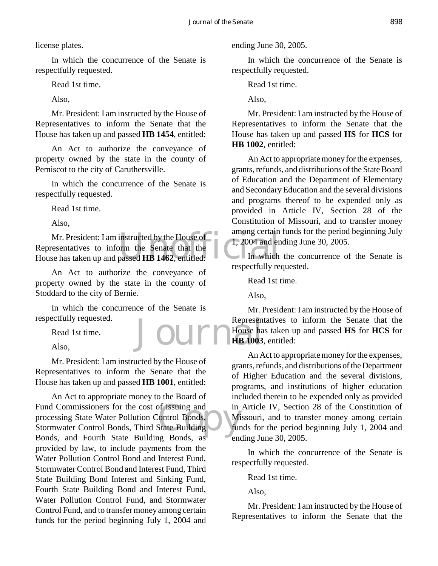license plates.

In which the concurrence of the Senate is respectfully requested.

Read 1st time.

Also,

Mr. President: I am instructed by the House of Representatives to inform the Senate that the House has taken up and passed **HB 1454**, entitled:

An Act to authorize the conveyance of property owned by the state in the county of Pemiscot to the city of Caruthersville.

In which the concurrence of the Senate is respectfully requested.

Read 1st time.

Also,

instructed by the House of<br>
orm the Senate that the<br>
passed HB 1462, entitled:<br>
In which Mr. President: I am instructed by the House of Representatives to inform the Senate that the House has taken up and passed **HB 1462**, entitled:

An Act to authorize the conveyance of property owned by the state in the county of Stoddard to the city of Bernie.

**Jourr** In which the concurrence of the Senate is respectfully requested.

Read 1st time.

Also,

Mr. President: I am instructed by the House of Representatives to inform the Senate that the House has taken up and passed **HB 1001**, entitled:

of issuing and<br>
in the Bonds,<br>
State Building<br>
Fands as An Act to appropriate money to the Board of Fund Commissioners for the cost of issuing and processing State Water Pollution Control Bonds, Stormwater Control Bonds, Third State Building Bonds, and Fourth State Building Bonds, as provided by law, to include payments from the Water Pollution Control Bond and Interest Fund, Stormwater Control Bond and Interest Fund, Third State Building Bond Interest and Sinking Fund, Fourth State Building Bond and Interest Fund, Water Pollution Control Fund, and Stormwater Control Fund, and to transfer money among certain funds for the period beginning July 1, 2004 and

ending June 30, 2005.

In which the concurrence of the Senate is respectfully requested.

Read 1st time.

Also,

Mr. President: I am instructed by the House of Representatives to inform the Senate that the House has taken up and passed **HS** for **HCS** for **HB 1002**, entitled:

An Act to appropriate money for the expenses, grants, refunds, and distributions of the State Board of Education and the Department of Elementary and Secondary Education and the several divisions and programs thereof to be expended only as provided in Article IV, Section 28 of the Constitution of Missouri, and to transfer money among certain funds for the period beginning July 1, 2004 and ending June 30, 2005.

In which the concurrence of the Senate is respectfully requested.

Read 1st time.

Also,

Mr. President: I am instructed by the House of Representatives to inform the Senate that the House has taken up and passed **HS** for **HCS** for **HB 1003**, entitled:

An Act to appropriate money for the expenses, grants, refunds, and distributions of the Department of Higher Education and the several divisions, programs, and institutions of higher education included therein to be expended only as provided in Article IV, Section 28 of the Constitution of Missouri, and to transfer money among certain funds for the period beginning July 1, 2004 and ending June 30, 2005.

In which the concurrence of the Senate is respectfully requested.

Read 1st time.

Also,

Mr. President: I am instructed by the House of Representatives to inform the Senate that the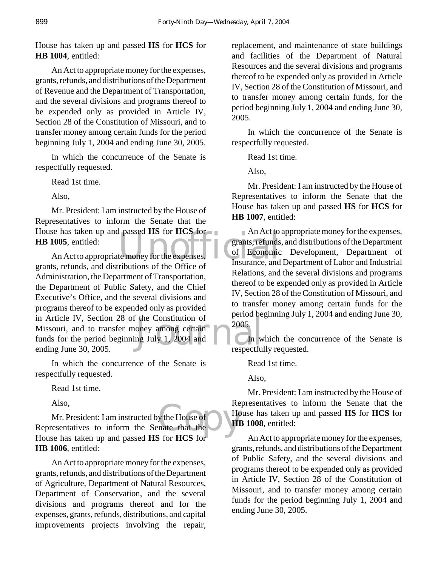House has taken up and passed **HS** for **HCS** for **HB 1004**, entitled:

An Act to appropriate money for the expenses, grants, refunds, and distributions of the Department of Revenue and the Department of Transportation, and the several divisions and programs thereof to be expended only as provided in Article IV, Section 28 of the Constitution of Missouri, and to transfer money among certain funds for the period beginning July 1, 2004 and ending June 30, 2005.

In which the concurrence of the Senate is respectfully requested.

Read 1st time.

Also,

House has taken up and passed HS for **HCS** for **An Act to HB 1005**, entitled:<br>An Act to appropriate money for the expenses, the Conomic of Economic refunds and distributions of the Office of Insurance, and Mr. President: I am instructed by the House of Representatives to inform the Senate that the **HB 1005**, entitled:

the Constitution of<br>oney among certain and the constant of the constant of the constant of the constant of the constant of the constant of the constant of the constant of the constant of the constant of the constant of the An Act to appropriate money for the expenses, grants, refunds, and distributions of the Office of Administration, the Department of Transportation, the Department of Public Safety, and the Chief Executive's Office, and the several divisions and programs thereof to be expended only as provided in Article IV, Section 28 of the Constitution of Missouri, and to transfer money among certain funds for the period beginning July 1, 2004 and ending June 30, 2005.

In which the concurrence of the Senate is respectfully requested.

Read 1st time.

Also,

y the House of<br>
mate that the<br>
Secret HCS for Mr. President: I am instructed by the House of Representatives to inform the Senate that the House has taken up and passed **HS** for **HCS** for **HB 1006**, entitled:

An Act to appropriate money for the expenses, grants, refunds, and distributions of the Department of Agriculture, Department of Natural Resources, Department of Conservation, and the several divisions and programs thereof and for the expenses, grants, refunds, distributions, and capital improvements projects involving the repair,

replacement, and maintenance of state buildings and facilities of the Department of Natural Resources and the several divisions and programs thereof to be expended only as provided in Article IV, Section 28 of the Constitution of Missouri, and to transfer money among certain funds, for the period beginning July 1, 2004 and ending June 30, 2005.

In which the concurrence of the Senate is respectfully requested.

Read 1st time.

Also,

Mr. President: I am instructed by the House of Representatives to inform the Senate that the House has taken up and passed **HS** for **HCS** for **HB 1007**, entitled:

An Act to appropriate money for the expenses, grants, refunds, and distributions of the Department of Economic Development, Department of Insurance, and Department of Labor and Industrial Relations, and the several divisions and programs thereof to be expended only as provided in Article IV, Section 28 of the Constitution of Missouri, and to transfer money among certain funds for the period beginning July 1, 2004 and ending June 30, 2005.

In which the concurrence of the Senate is respectfully requested.

Read 1st time.

Also,

Mr. President: I am instructed by the House of Representatives to inform the Senate that the House has taken up and passed **HS** for **HCS** for **HB 1008**, entitled:

An Act to appropriate money for the expenses, grants, refunds, and distributions of the Department of Public Safety, and the several divisions and programs thereof to be expended only as provided in Article IV, Section 28 of the Constitution of Missouri, and to transfer money among certain funds for the period beginning July 1, 2004 and ending June 30, 2005.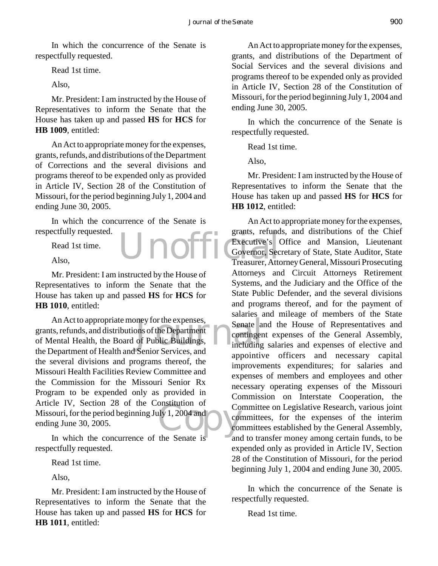In which the concurrence of the Senate is respectfully requested.

Read 1st time.

Also,

Mr. President: I am instructed by the House of Representatives to inform the Senate that the House has taken up and passed **HS** for **HCS** for **HB 1009**, entitled:

An Act to appropriate money for the expenses, grants, refunds, and distributions of the Department of Corrections and the several divisions and programs thereof to be expended only as provided in Article IV, Section 28 of the Constitution of Missouri, for the period beginning July 1, 2004 and ending June 30, 2005.

In which the concurrence of the Senate is respectfully requested.

 $\ln$ 

Read 1st time.

Also,

Mr. President: I am instructed by the House of Representatives to inform the Senate that the House has taken up and passed **HS** for **HCS** for **HB 1010**, entitled:

ney for the expenses,<br>
Senate<br>
of Public Buildings,<br>
Senior Services and<br>
Senior Services and  $\frac{1}{1}$ , 2004 and An Act to appropriate money for the expenses, grants, refunds, and distributions of the Department of Mental Health, the Board of Public Buildings, the Department of Health and Senior Services, and the several divisions and programs thereof, the Missouri Health Facilities Review Committee and the Commission for the Missouri Senior Rx Program to be expended only as provided in Article IV, Section 28 of the Constitution of Missouri, for the period beginning July 1, 2004 and ending June 30, 2005.

In which the concurrence of the Senate is respectfully requested.

Read 1st time.

Also,

Mr. President: I am instructed by the House of Representatives to inform the Senate that the House has taken up and passed **HS** for **HCS** for **HB 1011**, entitled:

An Act to appropriate money for the expenses, grants, and distributions of the Department of Social Services and the several divisions and programs thereof to be expended only as provided in Article IV, Section 28 of the Constitution of Missouri, for the period beginning July 1, 2004 and ending June 30, 2005.

In which the concurrence of the Senate is respectfully requested.

Read 1st time.

Also,

Mr. President: I am instructed by the House of Representatives to inform the Senate that the House has taken up and passed **HS** for **HCS** for **HB 1012**, entitled:

An Act to appropriate money for the expenses, grants, refunds, and distributions of the Chief Executive's Office and Mansion, Lieutenant Governor, Secretary of State, State Auditor, State Treasurer, Attorney General, Missouri Prosecuting Attorneys and Circuit Attorneys Retirement Systems, and the Judiciary and the Office of the State Public Defender, and the several divisions and programs thereof, and for the payment of salaries and mileage of members of the State Senate and the House of Representatives and contingent expenses of the General Assembly, including salaries and expenses of elective and appointive officers and necessary capital improvements expenditures; for salaries and expenses of members and employees and other necessary operating expenses of the Missouri Commission on Interstate Cooperation, the Committee on Legislative Research, various joint committees, for the expenses of the interim committees established by the General Assembly, and to transfer money among certain funds, to be expended only as provided in Article IV, Section 28 of the Constitution of Missouri, for the period beginning July 1, 2004 and ending June 30, 2005.

In which the concurrence of the Senate is respectfully requested.

Read 1st time.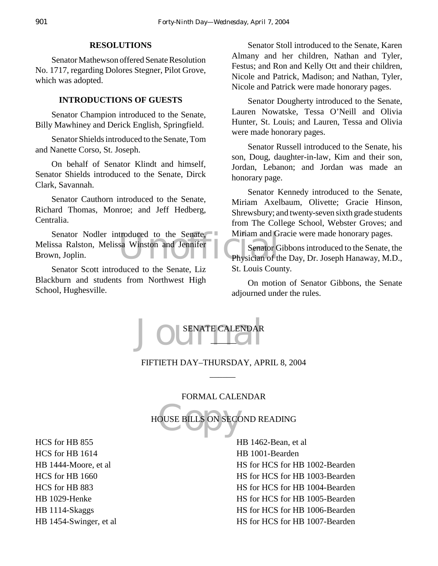# **RESOLUTIONS**

Senator Mathewson offered Senate Resolution No. 1717, regarding Dolores Stegner, Pilot Grove, which was adopted.

#### **INTRODUCTIONS OF GUESTS**

Senator Champion introduced to the Senate, Billy Mawhiney and Derick English, Springfield.

Senator Shields introduced to the Senate, Tom and Nanette Corso, St. Joseph.

On behalf of Senator Klindt and himself, Senator Shields introduced to the Senate, Dirck Clark, Savannah.

Senator Cauthorn introduced to the Senate, Richard Thomas, Monroe; and Jeff Hedberg, Centralia.

Senator Nodler introduced to the Senate, Miriam and G<br>
ssa Ralston, Melissa Winston and Jennifer<br>
University on, Joplin.<br>
Physician of the Physician of the Physician of the Physician of the Physician of the Physician of th Melissa Ralston, Melissa Winston and Jennifer Brown, Joplin.

Senator Scott introduced to the Senate, Liz Blackburn and students from Northwest High School, Hughesville.

Senator Stoll introduced to the Senate, Karen Almany and her children, Nathan and Tyler, Festus; and Ron and Kelly Ott and their children, Nicole and Patrick, Madison; and Nathan, Tyler, Nicole and Patrick were made honorary pages.

Senator Dougherty introduced to the Senate, Lauren Nowatske, Tessa O'Neill and Olivia Hunter, St. Louis; and Lauren, Tessa and Olivia were made honorary pages.

Senator Russell introduced to the Senate, his son, Doug, daughter-in-law, Kim and their son, Jordan, Lebanon; and Jordan was made an honorary page.

Senator Kennedy introduced to the Senate, Miriam Axelbaum, Olivette; Gracie Hinson, Shrewsbury; and twenty-seven sixth grade students from The College School, Webster Groves; and Miriam and Gracie were made honorary pages.

Senator Gibbons introduced to the Senate, the Physician of the Day, Dr. Joseph Hanaway, M.D., St. Louis County.

On motion of Senator Gibbons, the Senate adjourned under the rules.



# FIFTIETH DAY–THURSDAY, APRIL 8, 2004  $\overline{\phantom{a}}$

# FORMAL CALENDAR

OUSE BILLS ON SECO HOUSE BILLS ON SECOND READING

HCS for HB 855 HCS for HB 1614 HB 1444-Moore, et al HCS for HB 1660 HCS for HB 883 HB 1029-Henke HB 1114-Skaggs HB 1454-Swinger, et al HB 1462-Bean, et al HB 1001-Bearden HS for HCS for HB 1002-Bearden HS for HCS for HB 1003-Bearden HS for HCS for HB 1004-Bearden HS for HCS for HB 1005-Bearden HS for HCS for HB 1006-Bearden HS for HCS for HB 1007-Bearden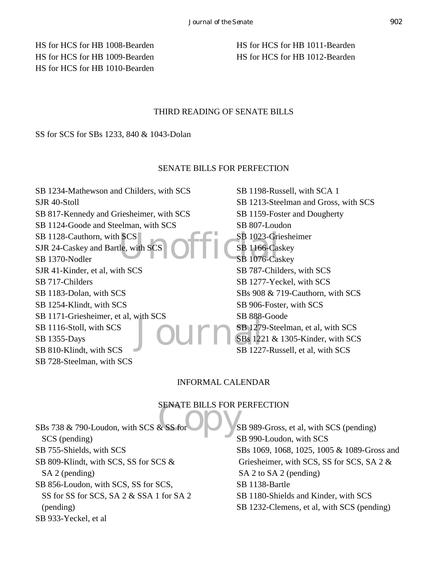HS for HCS for HB 1008-Bearden HS for HCS for HB 1009-Bearden HS for HCS for HB 1010-Bearden HS for HCS for HB 1011-Bearden HS for HCS for HB 1012-Bearden

# THIRD READING OF SENATE BILLS

# SS for SCS for SBs 1233, 840 & 1043-Dolan

# SENATE BILLS FOR PERFECTION

SCS<br>
Le, with SCS<br>
DETICSB 1076-Cas  $J$  OUM  $_{\text{SB}}^{\text{SB}}$   $_{\text{SB}}^{\text{2B}}$   $_{\text{SB}}^{\text{2B}}$   $_{\text{SB}}^{\text{2B}}$   $_{\text{SB}}^{\text{2B}}$   $_{\text{SB}}^{\text{2B}}$ SB 1234-Mathewson and Childers, with SCS SJR 40-Stoll SB 817-Kennedy and Griesheimer, with SCS SB 1124-Goode and Steelman, with SCS SB 1128-Cauthorn, with SCS SJR 24-Caskey and Bartle, with SCS SB 1370-Nodler SJR 41-Kinder, et al, with SCS SB 717-Childers SB 1183-Dolan, with SCS SB 1254-Klindt, with SCS SB 1171-Griesheimer, et al, with SCS SB 1116-Stoll, with SCS SB 1355-Days SB 810-Klindt, with SCS SB 728-Steelman, with SCS

SB 1198-Russell, with SCA 1 SB 1213-Steelman and Gross, with SCS SB 1159-Foster and Dougherty SB 807-Loudon SB 1023-Griesheimer SB 1166-Caskey SB 1076-Caskey SB 787-Childers, with SCS SB 1277-Yeckel, with SCS SBs 908 & 719-Cauthorn, with SCS SB 906-Foster, with SCS SB 888-Goode SB 1279-Steelman, et al, with SCS SBs 1221 & 1305-Kinder, with SCS SB 1227-Russell, et al, with SCS

# INFORMAL CALENDAR

# SENATE BILLS FOR PERFECTION

SBs 738 & 790-Loudon, with SCS & SS for SCS (pending) SB 755-Shields, with SCS SB 809-Klindt, with SCS, SS for SCS & SA 2 (pending) SB 856-Loudon, with SCS, SS for SCS, SS for SS for SCS, SA 2 & SSA 1 for SA 2 (pending) SB 933-Yeckel, et al

SB 989-Gross, et al, with SCS (pending) SB 990-Loudon, with SCS SBs 1069, 1068, 1025, 1005 & 1089-Gross and Griesheimer, with SCS, SS for SCS, SA 2 & SA 2 to SA 2 (pending) SB 1138-Bartle SB 1180-Shields and Kinder, with SCS SB 1232-Clemens, et al, with SCS (pending)